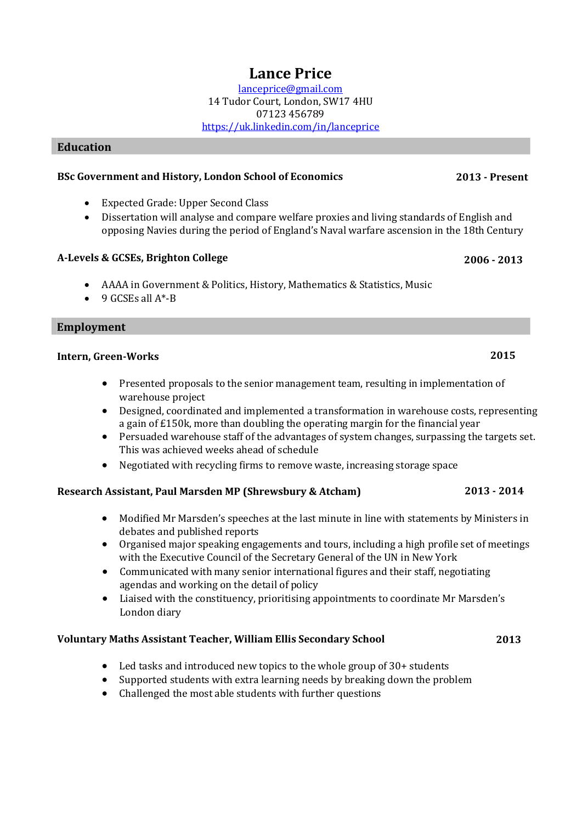## **Lance Price**

[lanceprice@gmail.com](mailto:lanceprice@gmail.com) 14 Tudor Court, London, SW17 4HU 07123 456789 <https://uk.linkedin.com/in/lanceprice>

### **Education**

### **BSc Government and History, London School of Economics 2013 - Present**

- Expected Grade: Upper Second Class
- Dissertation will analyse and compare welfare proxies and living standards of English and opposing Navies during the period of England's Naval warfare ascension in the 18th Century

### **A-Levels & GCSEs, Brighton College 2006 - 2013**

- AAAA in Government & Politics, History, Mathematics & Statistics, Music
- $\bullet$  9 GCSEs all  $A^*$ -B

### **Employment**

### **Intern, Green-Works 2015**

- Presented proposals to the senior management team, resulting in implementation of warehouse project
- Designed, coordinated and implemented a transformation in warehouse costs, representing a gain of £150k, more than doubling the operating margin for the financial year
- Persuaded warehouse staff of the advantages of system changes, surpassing the targets set. This was achieved weeks ahead of schedule
- Negotiated with recycling firms to remove waste, increasing storage space

### **Research Assistant, Paul Marsden MP (Shrewsbury & Atcham) 2013 - 2014**

- Modified Mr Marsden's speeches at the last minute in line with statements by Ministers in debates and published reports
- Organised major speaking engagements and tours, including a high profile set of meetings with the Executive Council of the Secretary General of the UN in New York
- Communicated with many senior international figures and their staff, negotiating agendas and working on the detail of policy
- Liaised with the constituency, prioritising appointments to coordinate Mr Marsden's London diary

### **Voluntary Maths Assistant Teacher, William Ellis Secondary School 2013**

- Led tasks and introduced new topics to the whole group of 30+ students
- Supported students with extra learning needs by breaking down the problem
- Challenged the most able students with further questions